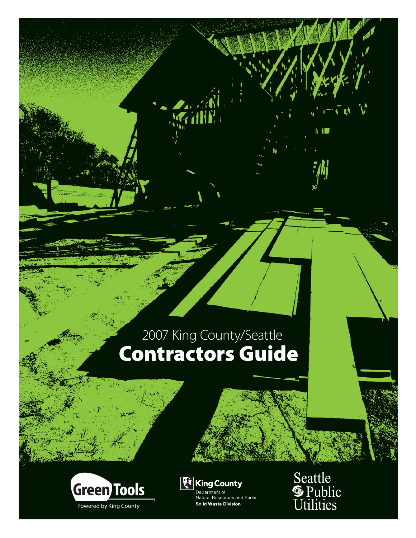# **Contractors Guide**





Department of<br>Natural Resources and Parks **Solid Waste Division** 

Seattle<br>**S** Public<br>Utilities

11 80 1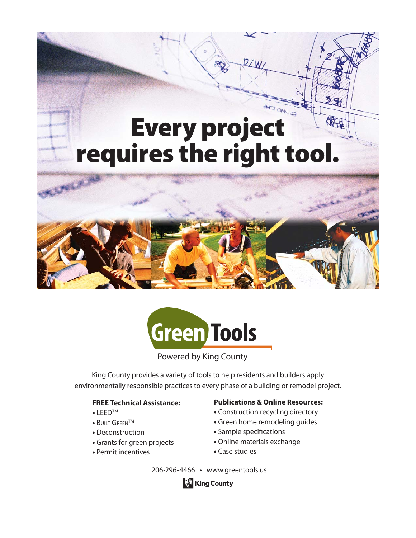## **Every project requires the right tool.**





Powered by King County

King County provides a variety of tools to help residents and builders apply environmentally responsible practices to every phase of a building or remodel project.

#### **FREE Technical Assistance:**

- **•** LEEDTM
- **•** BUILT GREENTM
- **•** Deconstruction
- **•** Grants for green projects
- **•** Permit incentives

#### **Publications & Online Resources:**

- **•** Construction recycling directory
- **•** Green home remodeling guides
- **•** Sample specifications
- **•** Online materials exchange
- **•** Case studies

206-296-4466 • www.greentools.us

**King County**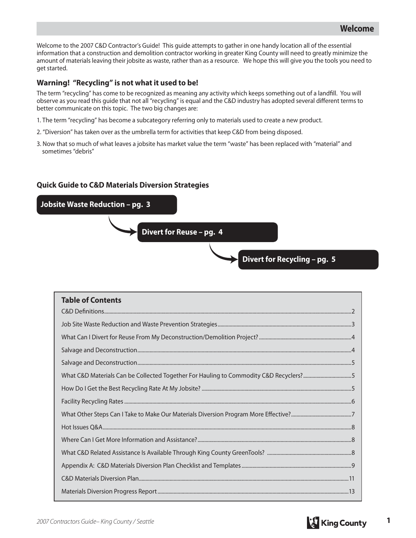Welcome to the 2007 C&D Contractor's Guide! This guide attempts to gather in one handy location all of the essential information that a construction and demolition contractor working in greater King County will need to greatly minimize the amount of materials leaving their jobsite as waste, rather than as a resource. We hope this will give you the tools you need to get started.

#### **Warning! "Recycling" is not what it used to be!**

The term "recycling" has come to be recognized as meaning any activity which keeps something out of a landfill. You will observe as you read this guide that not all "recycling" is equal and the C&D industry has adopted several different terms to better communicate on this topic. The two big changes are:

- 1. The term "recycling" has become a subcategory referring only to materials used to create a new product.
- 2. "Diversion" has taken over as the umbrella term for activities that keep C&D from being disposed.
- 3. Now that so much of what leaves a jobsite has market value the term "waste" has been replaced with "material" and sometimes "debris"

#### **Quick Guide to C&D Materials Diversion Strategies**



| <b>Table of Contents</b>                                                              |
|---------------------------------------------------------------------------------------|
|                                                                                       |
|                                                                                       |
|                                                                                       |
|                                                                                       |
| What C&D Materials Can be Collected Together For Hauling to Commodity C&D Recyclers?5 |
|                                                                                       |
|                                                                                       |
|                                                                                       |
|                                                                                       |
|                                                                                       |
|                                                                                       |
|                                                                                       |
|                                                                                       |
|                                                                                       |

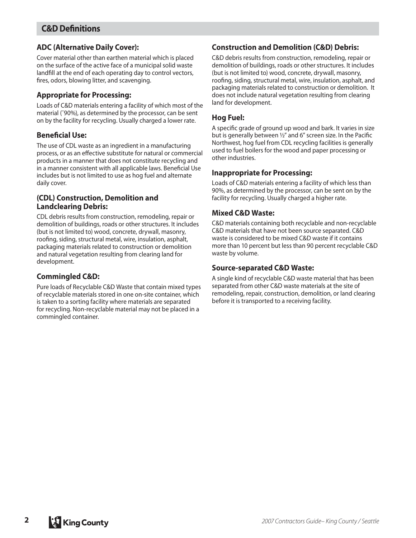## **C&D Definitions**

#### **ADC (Alternative Daily Cover):**

Cover material other than earthen material which is placed on the surface of the active face of a municipal solid waste landfill at the end of each operating day to control vectors, fires, odors, blowing litter, and scavenging.

#### **Appropriate for Processing:**

Loads of C&D materials entering a facility of which most of the material (˜90%), as determined by the processor, can be sent on by the facility for recycling. Usually charged a lower rate.

#### **Beneficial Use:**

The use of CDL waste as an ingredient in a manufacturing process, or as an effective substitute for natural or commercial products in a manner that does not constitute recycling and in a manner consistent with all applicable laws. Beneficial Use includes but is not limited to use as hog fuel and alternate daily cover.

#### **(CDL) Construction, Demolition and Landclearing Debris:**

CDL debris results from construction, remodeling, repair or demolition of buildings, roads or other structures. It includes (but is not limited to) wood, concrete, drywall, masonry, roofing, siding, structural metal, wire, insulation, asphalt, packaging materials related to construction or demolition and natural vegetation resulting from clearing land for development.

#### **Commingled C&D:**

Pure loads of Recyclable C&D Waste that contain mixed types of recyclable materials stored in one on-site container, which is taken to a sorting facility where materials are separated for recycling. Non-recyclable material may not be placed in a commingled container.

#### **Construction and Demolition (C&D) Debris:**

C&D debris results from construction, remodeling, repair or demolition of buildings, roads or other structures. It includes (but is not limited to) wood, concrete, drywall, masonry, roofing, siding, structural metal, wire, insulation, asphalt, and packaging materials related to construction or demolition. It does not include natural vegetation resulting from clearing land for development.

#### **Hog Fuel:**

A specific grade of ground up wood and bark. It varies in size but is generally between  $\frac{1}{2}$ " and 6" screen size. In the Pacific Northwest, hog fuel from CDL recycling facilities is generally used to fuel boilers for the wood and paper processing or other industries.

#### **Inappropriate for Processing:**

Loads of C&D materials entering a facility of which less than 90%, as determined by the processor, can be sent on by the facility for recycling. Usually charged a higher rate.

#### **Mixed C&D Waste:**

C&D materials containing both recyclable and non-recyclable C&D materials that have not been source separated. C&D waste is considered to be mixed C&D waste if it contains more than 10 percent but less than 90 percent recyclable C&D waste by volume.

#### **Source-separated C&D Waste:**

A single kind of recyclable C&D waste material that has been separated from other C&D waste materials at the site of remodeling, repair, construction, demolition, or land clearing before it is transported to a receiving facility.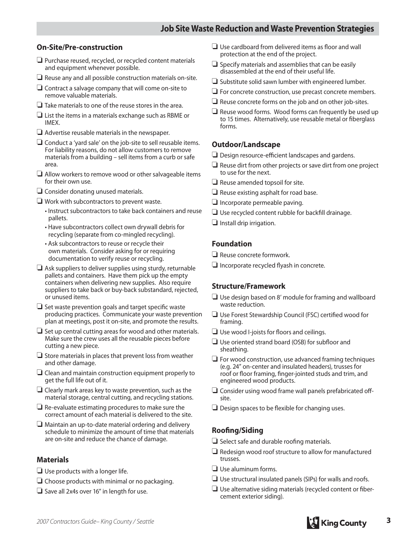#### **On-Site/Pre-construction**

- ❏ Purchase reused, recycled, or recycled content materials and equipment whenever possible.
- ❏ Reuse any and all possible construction materials on-site.
- ❏ Contract a salvage company that will come on-site to remove valuable materials.
- ❏ Take materials to one of the reuse stores in the area.
- ❏ List the items in a materials exchange such as RBME or IMEX.
- ❏ Advertise reusable materials in the newspaper.
- ❏ Conduct a 'yard sale' on the job-site to sell reusable items. For liability reasons, do not allow customers to remove materials from a building – sell items from a curb or safe area.
- ❏ Allow workers to remove wood or other salvageable items for their own use.
- ❏ Consider donating unused materials.
- ❏ Work with subcontractors to prevent waste.
	- Instruct subcontractors to take back containers and reuse pallets.
	- Have subcontractors collect own drywall debris for recycling (separate from co-mingled recycling).
	- Ask subcontractors to reuse or recycle their own materials. Consider asking for or requiring documentation to verify reuse or recycling.
- ❏ Ask suppliers to deliver supplies using sturdy, returnable pallets and containers. Have them pick up the empty containers when delivering new supplies. Also require suppliers to take back or buy-back substandard, rejected, or unused items.
- $\Box$  Set waste prevention goals and target specific waste producing practices. Communicate your waste prevention plan at meetings, post it on-site, and promote the results.
- ❏ Set up central cutting areas for wood and other materials. Make sure the crew uses all the reusable pieces before cutting a new piece.
- ❏ Store materials in places that prevent loss from weather and other damage.
- ❏ Clean and maintain construction equipment properly to get the full life out of it.
- ❏ Clearly mark areas key to waste prevention, such as the material storage, central cutting, and recycling stations.
- ❏ Re-evaluate estimating procedures to make sure the correct amount of each material is delivered to the site.
- ❏ Maintain an up-to-date material ordering and delivery schedule to minimize the amount of time that materials are on-site and reduce the chance of damage.

#### **Materials**

- ❏ Use products with a longer life.
- ❏ Choose products with minimal or no packaging.
- ❏ Save all 2x4s over 16" in length for use.
- $\Box$  Use cardboard from delivered items as floor and wall protection at the end of the project.
- ❏ Specify materials and assemblies that can be easily disassembled at the end of their useful life.
- ❏ Substitute solid sawn lumber with engineered lumber.
- ❏ For concrete construction, use precast concrete members.
- ❏ Reuse concrete forms on the job and on other job-sites.
- ❏ Reuse wood forms. Wood forms can frequently be used up to 15 times. Alternatively, use reusable metal or fiberglass forms.

#### **Outdoor/Landscape**

- $\Box$  Design resource-efficient landscapes and gardens.
- ❏ Reuse dirt from other projects or save dirt from one project to use for the next.
- ❏ Reuse amended topsoil for site.
- ❏ Reuse existing asphalt for road base.
- ❏ Incorporate permeable paving.
- $\Box$  Use recycled content rubble for backfill drainage.
- ❏ Install drip irrigation.

#### **Foundation**

- ❏ Reuse concrete formwork.
- $\Box$  Incorporate recycled flyash in concrete.

#### **Structure/Framework**

- ❏ Use design based on 8' module for framing and wallboard waste reduction.
- □ Use Forest Stewardship Council (FSC) certified wood for framing.
- $\Box$  Use wood I-joists for floors and ceilings.
- $\Box$  Use oriented strand board (OSB) for subfloor and sheathing.
- ❏ For wood construction, use advanced framing techniques (e.g. 24" on-center and insulated headers), trusses for roof or floor framing, finger-jointed studs and trim, and engineered wood products.
- ❏ Consider using wood frame wall panels prefabricated off site.
- $\Box$  Design spaces to be flexible for changing uses.

#### **Roofi ng/Siding**

- $\Box$  Select safe and durable roofing materials.
- ❏ Redesign wood roof structure to allow for manufactured trusses.
- ❏ Use aluminum forms.
- ❏ Use structural insulated panels (SIPs) for walls and roofs.
- $\Box$  Use alternative siding materials (recycled content or fibercement exterior siding).

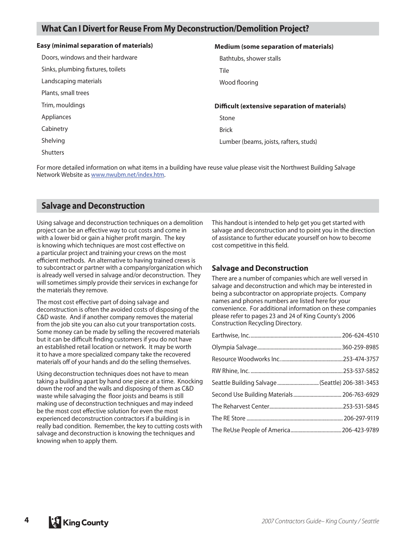### **What Can I Divert for Reuse From My Deconstruction/Demolition Project?**

| <b>Easy (minimal separation of materials)</b> | <b>Medium (some separation of materials)</b>         |
|-----------------------------------------------|------------------------------------------------------|
| Doors, windows and their hardware             | Bathtubs, shower stalls                              |
| Sinks, plumbing fixtures, toilets             | Tile                                                 |
| Landscaping materials                         | Wood flooring                                        |
| Plants, small trees                           |                                                      |
| Trim, mouldings                               | <b>Difficult (extensive separation of materials)</b> |
| Appliances                                    | Stone                                                |
| Cabinetry                                     | <b>Brick</b>                                         |
| Shelving                                      | Lumber (beams, joists, rafters, studs)               |
| <b>Shutters</b>                               |                                                      |

For more detailed information on what items in a building have reuse value please visit the Northwest Building Salvage Network Website as www.nwubm.net/index.htm.

#### **Salvage and Deconstruction**

Using salvage and deconstruction techniques on a demolition project can be an effective way to cut costs and come in with a lower bid or gain a higher profit margin. The key is knowing which techniques are most cost effective on a particular project and training your crews on the most efficient methods. An alternative to having trained crews is to subcontract or partner with a company/organization which is already well versed in salvage and/or deconstruction. They will sometimes simply provide their services in exchange for the materials they remove.

The most cost effective part of doing salvage and deconstruction is often the avoided costs of disposing of the C&D waste. And if another company removes the material from the job site you can also cut your transportation costs. Some money can be made by selling the recovered materials but it can be difficult finding customers if you do not have an established retail location or network. It may be worth it to have a more specialized company take the recovered materials off of your hands and do the selling themselves.

Using deconstruction techniques does not have to mean taking a building apart by hand one piece at a time. Knocking down the roof and the walls and disposing of them as C&D waste while salvaging the floor joists and beams is still making use of deconstruction techniques and may indeed be the most cost effective solution for even the most experienced deconstruction contractors if a building is in really bad condition. Remember, the key to cutting costs with salvage and deconstruction is knowing the techniques and knowing when to apply them.

This handout is intended to help get you get started with salvage and deconstruction and to point you in the direction of assistance to further educate yourself on how to become cost competitive in this field.

#### **Salvage and Deconstruction**

There are a number of companies which are well versed in salvage and deconstruction and which may be interested in being a subcontractor on appropriate projects. Company names and phones numbers are listed here for your convenience. For additional information on these companies please refer to pages 23 and 24 of King County's 2006 Construction Recycling Directory.

| Seattle Building Salvage (Seattle) 206-381-3453 |  |
|-------------------------------------------------|--|
|                                                 |  |
|                                                 |  |
|                                                 |  |
|                                                 |  |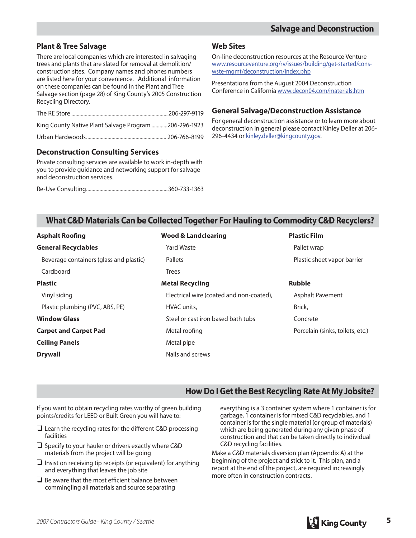## **Plant & Tree Salvage**

There are local companies which are interested in salvaging trees and plants that are slated for removal at demolition/ construction sites. Company names and phones numbers are listed here for your convenience. Additional information on these companies can be found in the Plant and Tree Salvage section (page 28) of King County's 2005 Construction Recycling Directory.

| King County Native Plant Salvage Program 206-296-1923 |  |
|-------------------------------------------------------|--|
|                                                       |  |

### **Deconstruction Consulting Services**

Private consulting services are available to work in-depth with you to provide guidance and networking support for salvage and deconstruction services.

Re-Use Consulting .............................................................360-733-1363

#### **Web Sites**

On-line deconstruction resources at the Resource Venture www.resourceventure.org/rv/issues/building/get-started/conswste-mgmt/deconstruction/index.php

Presentations from the August 2004 Deconstruction Conference in California www.decon04.com/materials.htm

#### **General Salvage/Deconstruction Assistance**

For general deconstruction assistance or to learn more about deconstruction in general please contact Kinley Deller at 206- 296-4434 or kinley.deller@kingcounty.gov.

## **What C&D Materials Can be Collected Together For Hauling to Commodity C&D Recyclers?**

| <b>Asphalt Roofing</b>                  | <b>Wood &amp; Landclearing</b>           | <b>Plastic Film</b>              |  |
|-----------------------------------------|------------------------------------------|----------------------------------|--|
| <b>General Recyclables</b>              | <b>Yard Waste</b>                        | Pallet wrap                      |  |
| Beverage containers (glass and plastic) | Pallets                                  | Plastic sheet vapor barrier      |  |
| Cardboard                               | <b>Trees</b>                             |                                  |  |
| <b>Plastic</b>                          | <b>Metal Recycling</b>                   | <b>Rubble</b>                    |  |
| Vinyl siding                            | Electrical wire (coated and non-coated), | <b>Asphalt Pavement</b>          |  |
| Plastic plumbing (PVC, ABS, PE)         | HVAC units,                              | Brick,                           |  |
| <b>Window Glass</b>                     | Steel or cast iron based bath tubs       | Concrete                         |  |
| <b>Carpet and Carpet Pad</b>            | Metal roofing                            | Porcelain (sinks, toilets, etc.) |  |
| <b>Ceiling Panels</b>                   | Metal pipe                               |                                  |  |
| <b>Drywall</b>                          | Nails and screws                         |                                  |  |

## **How Do I Get the Best Recycling Rate At My Jobsite?**

If you want to obtain recycling rates worthy of green building points/credits for LEED or Built Green you will have to:

- $\Box$  Learn the recycling rates for the different C&D processing facilities
- ❏ Specify to your hauler or drivers exactly where C&D materials from the project will be going
- ❏ Insist on receiving tip receipts (or equivalent) for anything and everything that leaves the job site
- $\Box$  Be aware that the most efficient balance between commingling all materials and source separating

everything is a 3 container system where 1 container is for garbage, 1 container is for mixed C&D recyclables, and 1 container is for the single material (or group of materials) which are being generated during any given phase of construction and that can be taken directly to individual C&D recycling facilities.

Make a C&D materials diversion plan (Appendix A) at the beginning of the project and stick to it. This plan, and a report at the end of the project, are required increasingly more often in construction contracts.

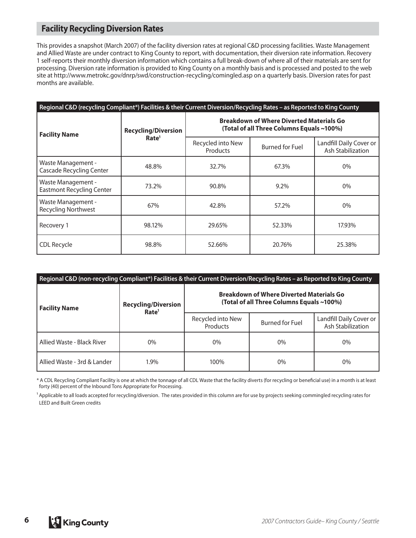## **Facility Recycling Diversion Rates**

This provides a snapshot (March 2007) of the facility diversion rates at regional C&D processing facilities. Waste Management and Allied Waste are under contract to King County to report, with documentation, their diversion rate information. Recovery 1 self-reports their monthly diversion information which contains a full break-down of where all of their materials are sent for processing. Diversion rate information is provided to King County on a monthly basis and is processed and posted to the web site at http://www.metrokc.gov/dnrp/swd/construction-recycling/comingled.asp on a quarterly basis. Diversion rates for past months are available.

| Regional C&D (recycling Compliant*) Facilities & their Current Diversion/Recycling Rates - as Reported to King County |                                                 |                                                                                              |                        |                                              |
|-----------------------------------------------------------------------------------------------------------------------|-------------------------------------------------|----------------------------------------------------------------------------------------------|------------------------|----------------------------------------------|
| <b>Facility Name</b>                                                                                                  | <b>Recycling/Diversion</b><br>Rate <sup>1</sup> | <b>Breakdown of Where Diverted Materials Go</b><br>(Total of all Three Columns Equals ~100%) |                        |                                              |
|                                                                                                                       |                                                 | Recycled into New<br>Products                                                                | <b>Burned for Fuel</b> | Landfill Daily Cover or<br>Ash Stabilization |
| Waste Management -<br><b>Cascade Recycling Center</b>                                                                 | 48.8%                                           | 32.7%                                                                                        | 67.3%                  | $0\%$                                        |
| Waste Management -<br><b>Eastmont Recycling Center</b>                                                                | 73.2%                                           | 90.8%                                                                                        | 9.2%                   | $0\%$                                        |
| Waste Management -<br><b>Recycling Northwest</b>                                                                      | 67%                                             | 42.8%                                                                                        | 57.2%                  | $0\%$                                        |
| Recovery 1                                                                                                            | 98.12%                                          | 29.65%                                                                                       | 52.33%                 | 17.93%                                       |
| CDL Recycle                                                                                                           | 98.8%                                           | 52.66%                                                                                       | 20.76%                 | 25.38%                                       |

| Regional C&D (non-recycling Compliant*) Facilities & their Current Diversion/Recycling Rates - as Reported to King County |                                                 |                                                                                              |                        |                                              |
|---------------------------------------------------------------------------------------------------------------------------|-------------------------------------------------|----------------------------------------------------------------------------------------------|------------------------|----------------------------------------------|
| <b>Facility Name</b>                                                                                                      | <b>Recycling/Diversion</b><br>Rate <sup>1</sup> | <b>Breakdown of Where Diverted Materials Go</b><br>(Total of all Three Columns Equals ~100%) |                        |                                              |
|                                                                                                                           |                                                 | Recycled into New<br><b>Products</b>                                                         | <b>Burned for Fuel</b> | Landfill Daily Cover or<br>Ash Stabilization |
| Allied Waste - Black River                                                                                                | 0%                                              | 0%                                                                                           | $0\%$                  | $0\%$                                        |
| Allied Waste - 3rd & Lander                                                                                               | 1.9%                                            | 100%                                                                                         | $0\%$                  | $0\%$                                        |

\* A CDL Recycling Compliant Facility is one at which the tonnage of all CDL Waste that the facility diverts (for recycling or beneficial use) in a month is at least forty (40) percent of the Inbound Tons Appropriate for Processing.

<sup>1</sup> Applicable to all loads accepted for recycling/diversion. The rates provided in this column are for use by projects seeking commingled recycling rates for LEED and Built Green credits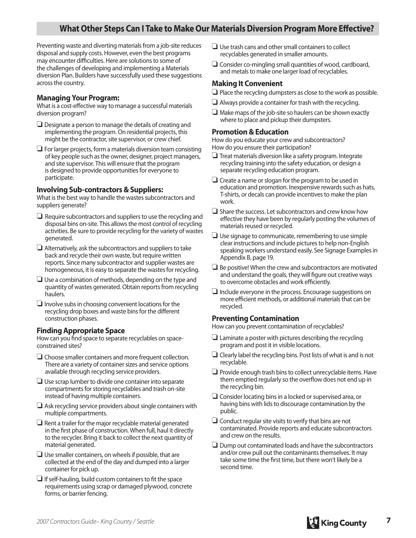## **What Other Steps Can I Take to Make Our Materials Diversion Program More Effective?**

Preventing waste and diverting materials from a job-site reduces disposal and supply costs. However, even the best programs may encounter difficulties. Here are solutions to some of the challenges of developing and implementing a Materials diversion Plan. Builders have successfully used these suggestions across the country.

#### **Managing Your Program:**

What is a cost-effective way to manage a successful materials diversion program?

- ❏ Designate a person to manage the details of creating and implementing the program. On residential projects, this might be the contractor, site supervisor, or crew chief.
- ❏ For larger projects, form a materials diversion team consisting of key people such as the owner, designer, project managers, and site supervisor. This will ensure that the program is designed to provide opportunities for everyone to participate.

#### **Involving Sub-contractors & Suppliers:**

What is the best way to handle the wastes subcontractors and suppliers generate?

- ❏ Require subcontractors and suppliers to use the recycling and disposal bins on-site. This allows the most control of recycling activities. Be sure to provide recycling for the variety of wastes generated.
- ❏ Alternatively, ask the subcontractors and suppliers to take back and recycle their own waste, but require written reports. Since many subcontractor and supplier wastes are homogeneous, it is easy to separate the wastes for recycling.
- ❏ Use a combination of methods, depending on the type and quantity of wastes generated. Obtain reports from recycling haulers.
- ❏ Involve subs in choosing convenient locations for the recycling drop boxes and waste bins for the different construction phases.

#### **Finding Appropriate Space**

How can you find space to separate recyclables on spaceconstrained sites?

- ❏ Choose smaller containers and more frequent collection. There are a variety of container sizes and service options available through recycling service providers.
- ❏ Use scrap lumber to divide one container into separate compartments for storing recyclables and trash on-site instead of having multiple containers.
- ❏ Ask recycling service providers about single containers with multiple compartments.
- ❏ Rent a trailer for the major recyclable material generated in the first phase of construction. When full, haul it directly to the recycler. Bring it back to collect the next quantity of material generated.
- ❏ Use smaller containers, on wheels if possible, that are collected at the end of the day and dumped into a larger container for pick up.
- $\Box$  If self-hauling, build custom containers to fit the space requirements using scrap or damaged plywood, concrete forms, or barrier fencing.
- ❏ Use trash cans and other small containers to collect recyclables generated in smaller amounts.
- ❏ Consider co-mingling small quantities of wood, cardboard, and metals to make one larger load of recyclables.

#### **Making It Convenient**

- ❏ Place the recycling dumpsters as close to the work as possible.
- ❏ Always provide a container for trash with the recycling.
- ❏ Make maps of the job-site so haulers can be shown exactly where to place and pickup their dumpsters.

#### **Promotion & Education**

How do you educate your crew and subcontractors? How do you ensure their participation?

- ❏ Treat materials diversion like a safety program. Integrate recycling training into the safety education, or design a separate recycling education program.
- ❏ Create a name or slogan for the program to be used in education and promotion. Inexpensive rewards such as hats, T-shirts, or decals can provide incentives to make the plan work.
- ❏ Share the success. Let subcontractors and crew know how effective they have been by regularly posting the volumes of materials reused or recycled.
- ❏ Use signage to communicate, remembering to use simple clear instructions and include pictures to help non-English speaking workers understand easily. See Signage Examples in Appendix B, page 19.
- ❏ Be positive! When the crew and subcontractors are motivated and understand the goals, they will figure out creative ways to overcome obstacles and work efficiently.
- ❏ Include everyone in the process. Encourage suggestions on more efficient methods, or additional materials that can be recycled.

#### **Preventing Contamination**

How can you prevent contamination of recyclables?

- $\Box$  Laminate a poster with pictures describing the recycling program and post it in visible locations.
- ❏ Clearly label the recycling bins. Post lists of what is and is not recyclable.
- ❏ Provide enough trash bins to collect unrecyclable items. Have them emptied regularly so the overflow does not end up in the recycling bin.
- ❏ Consider locating bins in a locked or supervised area, or having bins with lids to discourage contamination by the public.
- ❏ Conduct regular site visits to verify that bins are not contaminated. Provide reports and educate subcontractors and crew on the results.
- ❏ Dump out contaminated loads and have the subcontractors and/or crew pull out the contaminants themselves. It may take some time the first time, but there won't likely be a second time.

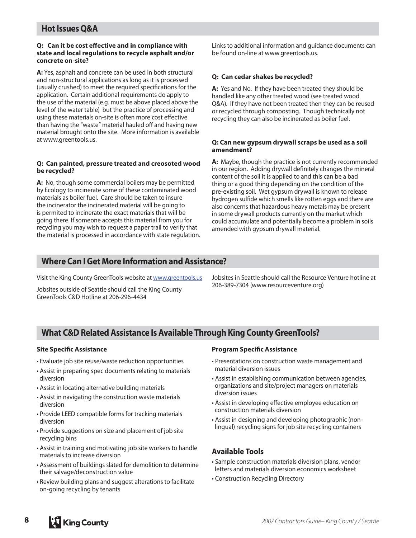#### **Hot Issues Q&A**

#### **Q:** Can it be cost effective and in compliance with **state and local regulations to recycle asphalt and/or concrete on-site?**

**A:** Yes, asphalt and concrete can be used in both structural and non-structural applications as long as it is processed (usually crushed) to meet the required specifications for the application. Certain additional requirements do apply to the use of the material (e.g. must be above placed above the level of the water table) but the practice of processing and using these materials on-site is often more cost effective than having the "waste" material hauled off and having new material brought onto the site. More information is available at www.greentools.us.

#### **Q: Can painted, pressure treated and creosoted wood be recycled?**

**A:** No, though some commercial boilers may be permitted by Ecology to incinerate some of these contaminated wood materials as boiler fuel. Care should be taken to insure the incinerator the incinerated material will be going to is permited to incinerate the exact materials that will be going there. If someone accepts this material from you for recycling you may wish to request a paper trail to verify that the material is processed in accordance with state regulation. Links to additional information and guidance documents can be found on-line at www.greentools.us.

#### **Q: Can cedar shakes be recycled?**

**A:** Yes and No. If they have been treated they should be handled like any other treated wood (see treated wood Q&A). If they have not been treated then they can be reused or recycled through composting. Though technically not recycling they can also be incinerated as boiler fuel.

#### **Q: Can new gypsum drywall scraps be used as a soil amendment?**

**A:** Maybe, though the practice is not currently recommended in our region. Adding drywall definitely changes the mineral content of the soil it is applied to and this can be a bad thing or a good thing depending on the condition of the pre-existing soil. Wet gypsum drywall is known to release hydrogen sulfide which smells like rotten eggs and there are also concerns that hazardous heavy metals may be present in some drywall products currently on the market which could accumulate and potentially become a problem in soils amended with gypsum drywall material.

#### **Where Can I Get More Information and Assistance?**

Visit the King County GreenTools website at www.greentools.us

Jobsites outside of Seattle should call the King County GreenTools C&D Hotline at 206-296-4434

Jobsites in Seattle should call the Resource Venture hotline at 206-389-7304 (www.resourceventure.org)

## **What C&D Related Assistance Is Available Through King County GreenTools?**

#### **Site Specific Assistance**

- Evaluate job site reuse/waste reduction opportunities
- Assist in preparing spec documents relating to materials diversion
- Assist in locating alternative building materials
- Assist in navigating the construction waste materials diversion
- Provide LEED compatible forms for tracking materials diversion
- Provide suggestions on size and placement of job site recycling bins
- Assist in training and motivating job site workers to handle materials to increase diversion
- Assessment of buildings slated for demolition to determine their salvage/deconstruction value
- Review building plans and suggest alterations to facilitate on-going recycling by tenants

#### **Program Specific Assistance**

- Presentations on construction waste management and material diversion issues
- Assist in establishing communication between agencies, organizations and site/project managers on materials diversion issues
- Assist in developing effective employee education on construction materials diversion
- Assist in designing and developing photographic (nonlingual) recycling signs for job site recycling containers

#### **Available Tools**

- Sample construction materials diversion plans, vendor letters and materials diversion economics worksheet
- Construction Recycling Directory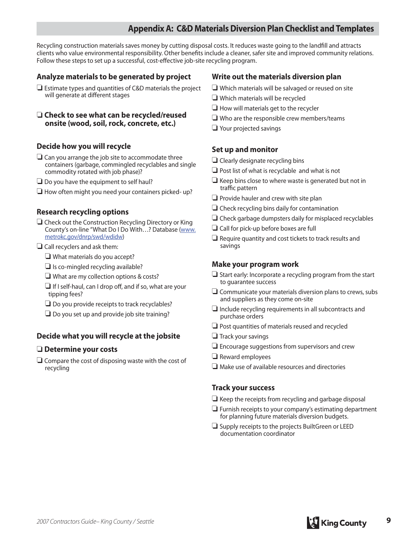## **Appendix A: C&D Materials Diversion Plan Checklist and Templates**

Recycling construction materials saves money by cutting disposal costs. It reduces waste going to the landfill and attracts clients who value environmental responsibility. Other benefits include a cleaner, safer site and improved community relations. Follow these steps to set up a successful, cost-effective job-site recycling program.

#### **Analyze materials to be generated by project**

❏ Estimate types and quantities of C&D materials the project will generate at different stages

#### ❏ **Check to see what can be recycled/reused onsite (wood, soil, rock, concrete, etc.)**

#### **Decide how you will recycle**

- ❏ Can you arrange the job site to accommodate three containers (garbage, commingled recyclables and single commodity rotated with job phase)?
- $\Box$  Do you have the equipment to self haul?
- ❏ How often might you need your containers picked- up?

#### **Research recycling options**

- ❏ Check out the Construction Recycling Directory or King County's on-line "What Do I Do With…? Database (www. metrokc.gov/dnrp/swd/wdidw)
- ❏ Call recyclers and ask them:
	- ❏ What materials do you accept?
	- ❏ Is co-mingled recycling available?
	- ❏ What are my collection options & costs?
	- ❏ If I self-haul, can I drop off , and if so, what are your tipping fees?
	- ❏ Do you provide receipts to track recyclables?
	- ❏ Do you set up and provide job site training?

#### **Decide what you will recycle at the jobsite**

#### ❏ **Determine your costs**

❏ Compare the cost of disposing waste with the cost of recycling

#### **Write out the materials diversion plan**

- ❏ Which materials will be salvaged or reused on site
- ❏ Which materials will be recycled
- ❏ How will materials get to the recycler
- ❏ Who are the responsible crew members/teams
- ❏ Your projected savings

#### **Set up and monitor**

- ❏ Clearly designate recycling bins
- ❏ Post list of what is recyclable and what is not
- ❏ Keep bins close to where waste is generated but not in traffic pattern
- ❏ Provide hauler and crew with site plan
- ❏ Check recycling bins daily for contamination
- ❏ Check garbage dumpsters daily for misplaced recyclables
- ❏ Call for pick-up before boxes are full
- ❏ Require quantity and cost tickets to track results and savings

#### **Make your program work**

- ❏ Start early: Incorporate a recycling program from the start to guarantee success
- ❏ Communicate your materials diversion plans to crews, subs and suppliers as they come on-site
- $\Box$  Include recycling requirements in all subcontracts and purchase orders
- ❏ Post quantities of materials reused and recycled
- ❏ Track your savings
- ❏ Encourage suggestions from supervisors and crew
- ❏ Reward employees
- ❏ Make use of available resources and directories

#### **Track your success**

- ❏ Keep the receipts from recycling and garbage disposal
- ❏ Furnish receipts to your company's estimating department for planning future materials diversion budgets.
- ❏ Supply receipts to the projects BuiltGreen or LEED documentation coordinator

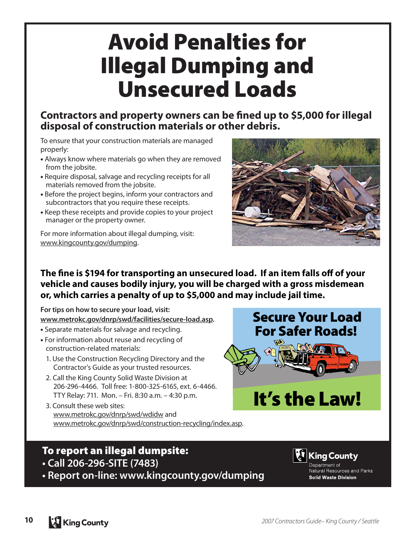## **Avoid Penalties for Illegal Dumping and Unsecured Loads**

## **Contractors and property owners can be fined up to \$5,000 for illegal disposal of construction materials or other debris.**

To ensure that your construction materials are managed properly:

- Always know where materials go when they are removed from the jobsite.
- Require disposal, salvage and recycling receipts for all materials removed from the jobsite.
- Before the project begins, inform your contractors and subcontractors that you require these receipts.
- Keep these receipts and provide copies to your project manager or the property owner.

For more information about illegal dumping, visit: www.kingcounty.gov/dumping.



**Secure Your Load For Safer Roads!** 

**It's the Law!**

**The fine is \$194 for transporting an unsecured load. If an item falls off of your vehicle and causes bodily injury, you will be charged with a gross misdemean or, which carries a penalty of up to \$5,000 and may include jail time.** 

**For tips on how to secure your load, visit: www.metrokc.gov/dnrp/swd/facilities/secure-load.asp.**

- Separate materials for salvage and recycling.
- For information about reuse and recycling of construction-related materials:
	- 1. Use the Construction Recycling Directory and the Contractor's Guide as your trusted resources.
	- 2. Call the King County Solid Waste Division at 206-296-4466. Toll free: 1-800-325-6165, ext. 6-4466. TTY Relay: 711. Mon. – Fri. 8:30 a.m. – 4:30 p.m.
	- 3. Consult these web sites: www.metrokc.gov/dnrp/swd/wdidw and www.metrokc.gov/dnrp/swd/construction-recycling/index.asp.

## **To report an illegal dumpsite:**

- **Call 206-296-SITE (7483)**
- **Report on-line: www.kingcounty.gov/dumping**



Department of Natural Resources and Parks **Solid Waste Division**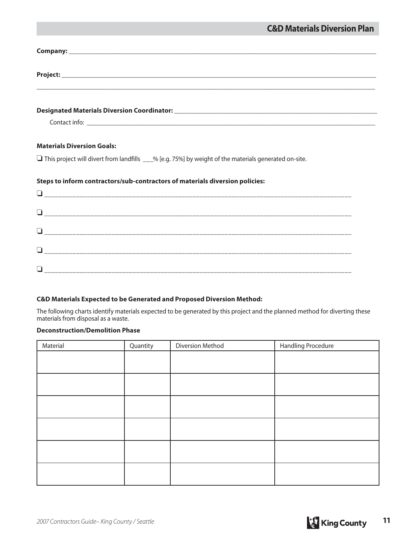| <b>Materials Diversion Goals:</b>                                                                            |
|--------------------------------------------------------------------------------------------------------------|
| $\Box$ This project will divert from landfills ___% [e.g. 75%] by weight of the materials generated on-site. |
| Steps to inform contractors/sub-contractors of materials diversion policies:                                 |
|                                                                                                              |
|                                                                                                              |
|                                                                                                              |
| ப                                                                                                            |

#### **C&D Materials Expected to be Generated and Proposed Diversion Method:**

The following charts identify materials expected to be generated by this project and the planned method for diverting these materials from disposal as a waste.

#### **Deconstruction/Demolition Phase**

| Material | Quantity | Diversion Method | Handling Procedure |
|----------|----------|------------------|--------------------|
|          |          |                  |                    |
|          |          |                  |                    |
|          |          |                  |                    |
|          |          |                  |                    |
|          |          |                  |                    |
|          |          |                  |                    |
|          |          |                  |                    |
|          |          |                  |                    |
|          |          |                  |                    |
|          |          |                  |                    |
|          |          |                  |                    |
|          |          |                  |                    |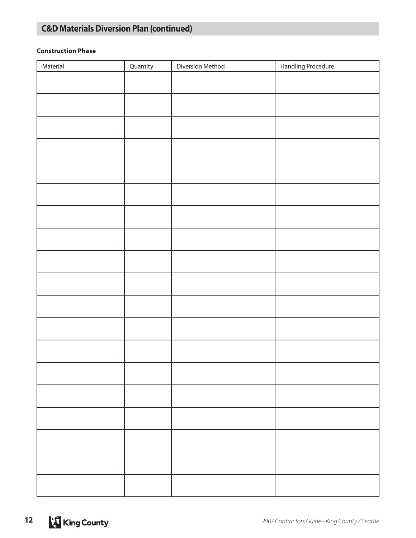## **C&D Materials Diversion Plan (continued)**

#### **Construction Phase**

| Material | Quantity | Diversion Method | Handling Procedure |
|----------|----------|------------------|--------------------|
|          |          |                  |                    |
|          |          |                  |                    |
|          |          |                  |                    |
|          |          |                  |                    |
|          |          |                  |                    |
|          |          |                  |                    |
|          |          |                  |                    |
|          |          |                  |                    |
|          |          |                  |                    |
|          |          |                  |                    |
|          |          |                  |                    |
|          |          |                  |                    |
|          |          |                  |                    |
|          |          |                  |                    |
|          |          |                  |                    |
|          |          |                  |                    |
|          |          |                  |                    |
|          |          |                  |                    |
|          |          |                  |                    |
|          |          |                  |                    |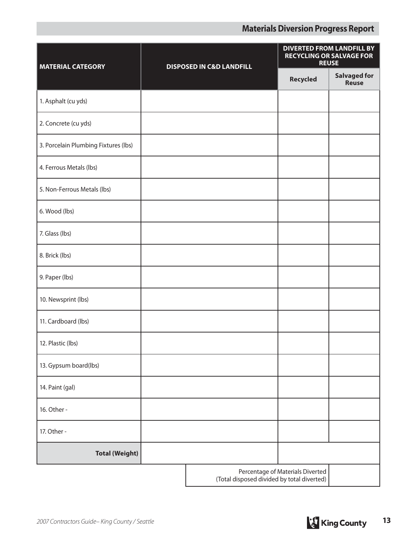## **Materials Diversion Progress Report**

| <b>MATERIAL CATEGORY</b>             | <b>DISPOSED IN C&amp;D LANDFILL</b> |                                            | <b>DIVERTED FROM LANDFILL BY</b><br><b>RECYCLING OR SALVAGE FOR</b><br><b>REUSE</b> |                                     |
|--------------------------------------|-------------------------------------|--------------------------------------------|-------------------------------------------------------------------------------------|-------------------------------------|
|                                      |                                     |                                            | <b>Recycled</b>                                                                     | <b>Salvaged for</b><br><b>Reuse</b> |
| 1. Asphalt (cu yds)                  |                                     |                                            |                                                                                     |                                     |
| 2. Concrete (cu yds)                 |                                     |                                            |                                                                                     |                                     |
| 3. Porcelain Plumbing Fixtures (lbs) |                                     |                                            |                                                                                     |                                     |
| 4. Ferrous Metals (lbs)              |                                     |                                            |                                                                                     |                                     |
| 5. Non-Ferrous Metals (lbs)          |                                     |                                            |                                                                                     |                                     |
| 6. Wood (lbs)                        |                                     |                                            |                                                                                     |                                     |
| 7. Glass (lbs)                       |                                     |                                            |                                                                                     |                                     |
| 8. Brick (lbs)                       |                                     |                                            |                                                                                     |                                     |
| 9. Paper (lbs)                       |                                     |                                            |                                                                                     |                                     |
| 10. Newsprint (lbs)                  |                                     |                                            |                                                                                     |                                     |
| 11. Cardboard (lbs)                  |                                     |                                            |                                                                                     |                                     |
| 12. Plastic (lbs)                    |                                     |                                            |                                                                                     |                                     |
| 13. Gypsum board(lbs)                |                                     |                                            |                                                                                     |                                     |
| 14. Paint (gal)                      |                                     |                                            |                                                                                     |                                     |
| 16. Other -                          |                                     |                                            |                                                                                     |                                     |
| 17. Other -                          |                                     |                                            |                                                                                     |                                     |
| <b>Total (Weight)</b>                |                                     |                                            |                                                                                     |                                     |
|                                      |                                     | (Total disposed divided by total diverted) | Percentage of Materials Diverted                                                    |                                     |